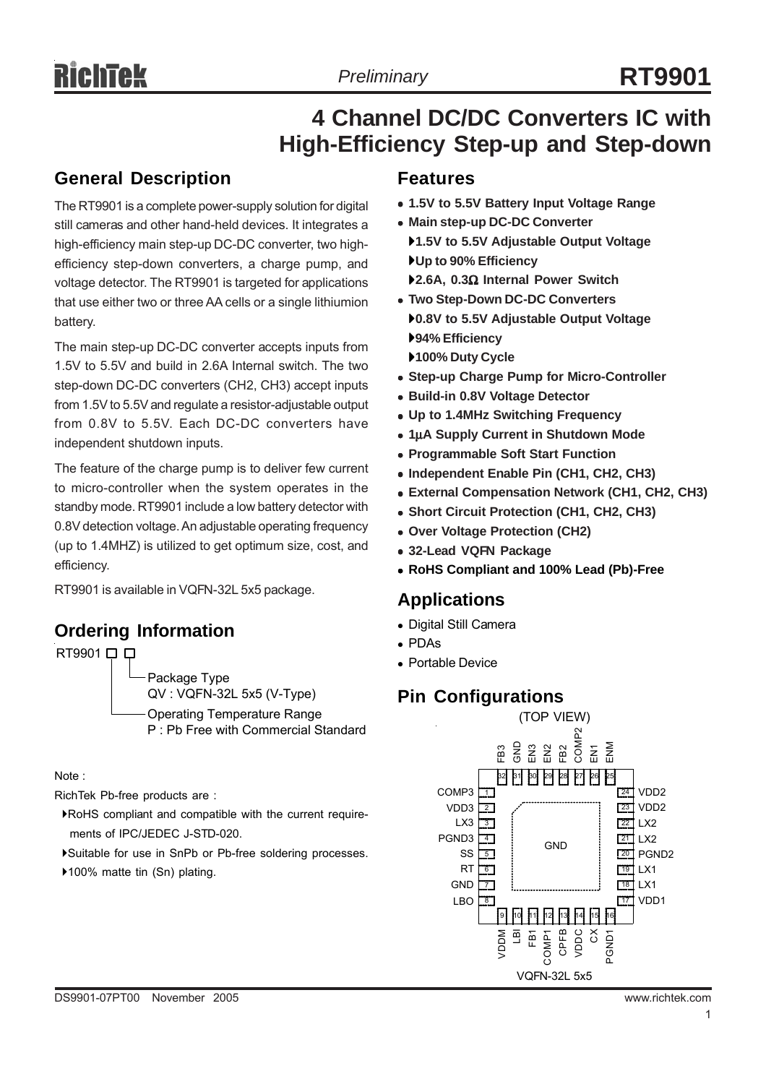# **4 Channel DC/DC Converters IC with High-Efficiency Step-up and Step-down**

### **General Description**

The RT9901 is a complete power-supply solution for digital still cameras and other hand-held devices. It integrates a high-efficiency main step-up DC-DC converter, two highefficiency step-down converters, a charge pump, and voltage detector. The RT9901 is targeted for applications that use either two or three AA cells or a single lithiumion battery.

The main step-up DC-DC converter accepts inputs from 1.5V to 5.5V and build in 2.6A Internal switch. The two step-down DC-DC converters (CH2, CH3) accept inputs from 1.5V to 5.5V and regulate a resistor-adjustable output from 0.8V to 5.5V. Each DC-DC converters have independent shutdown inputs.

The feature of the charge pump is to deliver few current to micro-controller when the system operates in the standby mode. RT9901 include a low battery detector with 0.8V detection voltage. An adjustable operating frequency (up to 1.4MHZ) is utilized to get optimum size, cost, and efficiency.

RT9901 is available in VQFN-32L 5x5 package.

# **Ordering Information**

RT9901 **□** Package Type QV : VQFN-32L 5x5 (V-Type) Operating Temperature Range P : Pb Free with Commercial Standard

Note :

RichTek Pb-free products are :

- `RoHS compliant and compatible with the current require ments of IPC/JEDEC J-STD-020.
- `Suitable for use in SnPb or Pb-free soldering processes.
- ▶100% matte tin (Sn) plating.

#### **Features**

- <sup>z</sup> **1.5V to 5.5V Battery Input Voltage Range**
- **Main step-up DC-DC Converter**
- `**1.5V to 5.5V Adjustable Output Voltage** `**Up to 90% Efficiency**
- `**2.6A, 0.3**Ω **Internal Power Switch**
- **Two Step-Down DC-DC Converters** `**0.8V to 5.5V Adjustable Output Voltage** `**94% Efficiency**
- `**100% Duty Cycle**
- **Step-up Charge Pump for Micro-Controller**
- **Build-in 0.8V Voltage Detector**
- <sup>z</sup> **Up to 1.4MHz Switching Frequency**
- <sup>z</sup> **1**μ**A Supply Current in Shutdown Mode**
- **Programmable Soft Start Function**
- <sup>z</sup> **Independent Enable Pin (CH1, CH2, CH3)**
- **External Compensation Network (CH1, CH2, CH3)**
- <sup>z</sup> **Short Circuit Protection (CH1, CH2, CH3)**
- <sup>z</sup> **Over Voltage Protection (CH2)**
- $\bullet$  **32-Lead VQFN Package**
- <sup>z</sup> **RoHS Compliant and 100% Lead (Pb)-Free**

#### **Applications**

- Digital Still Camera
- <sup>z</sup> PDAs
- Portable Device

### **Pin Configurations**

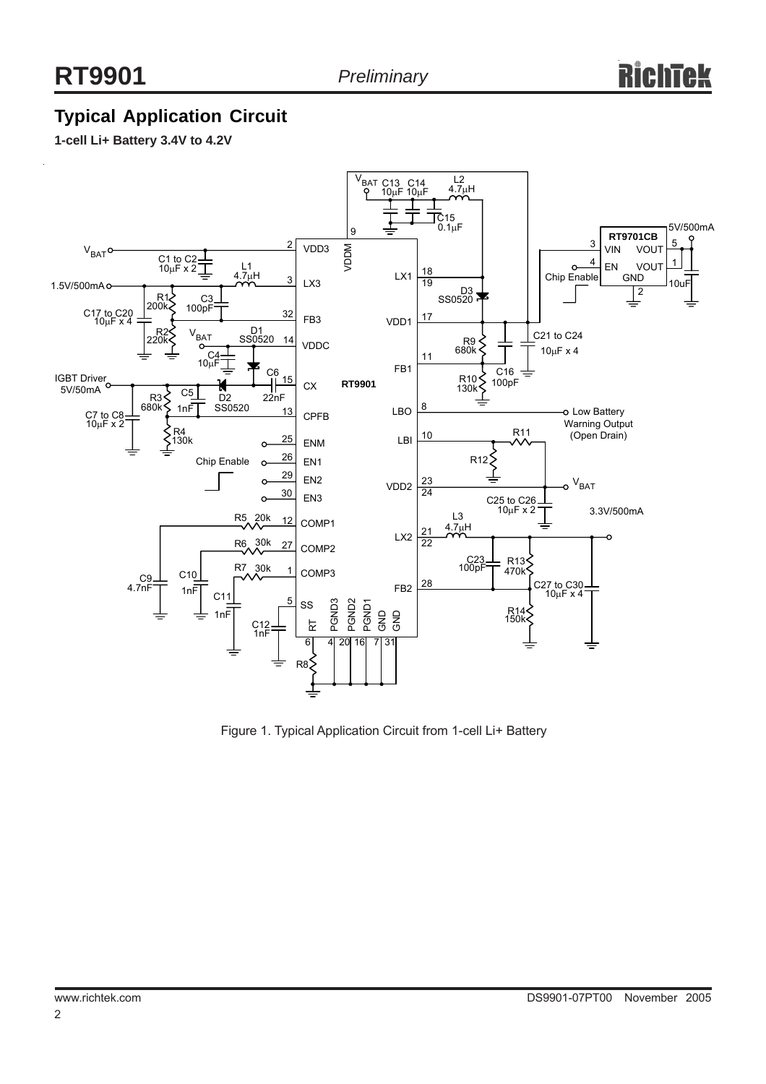# **Typical Application Circuit**

**1-cell Li+ Battery 3.4V to 4.2V**



Figure 1. Typical Application Circuit from 1-cell Li+ Battery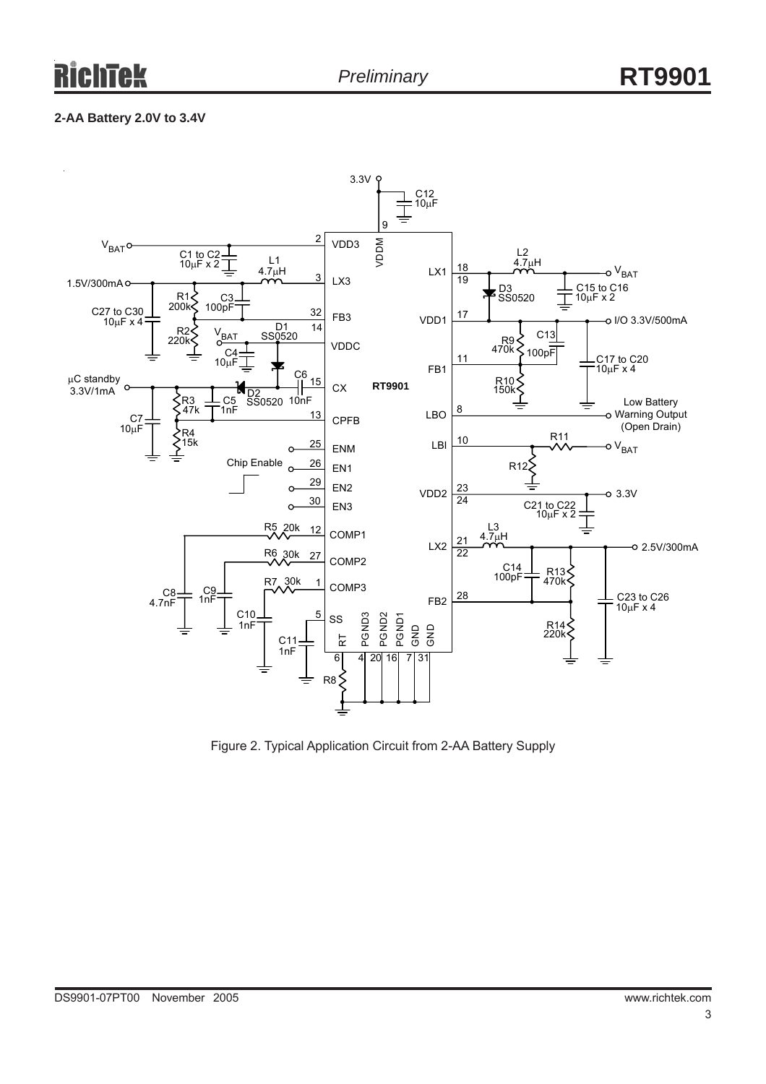#### **2-AA Battery 2.0V to 3.4V**



Figure 2. Typical Application Circuit from 2-AA Battery Supply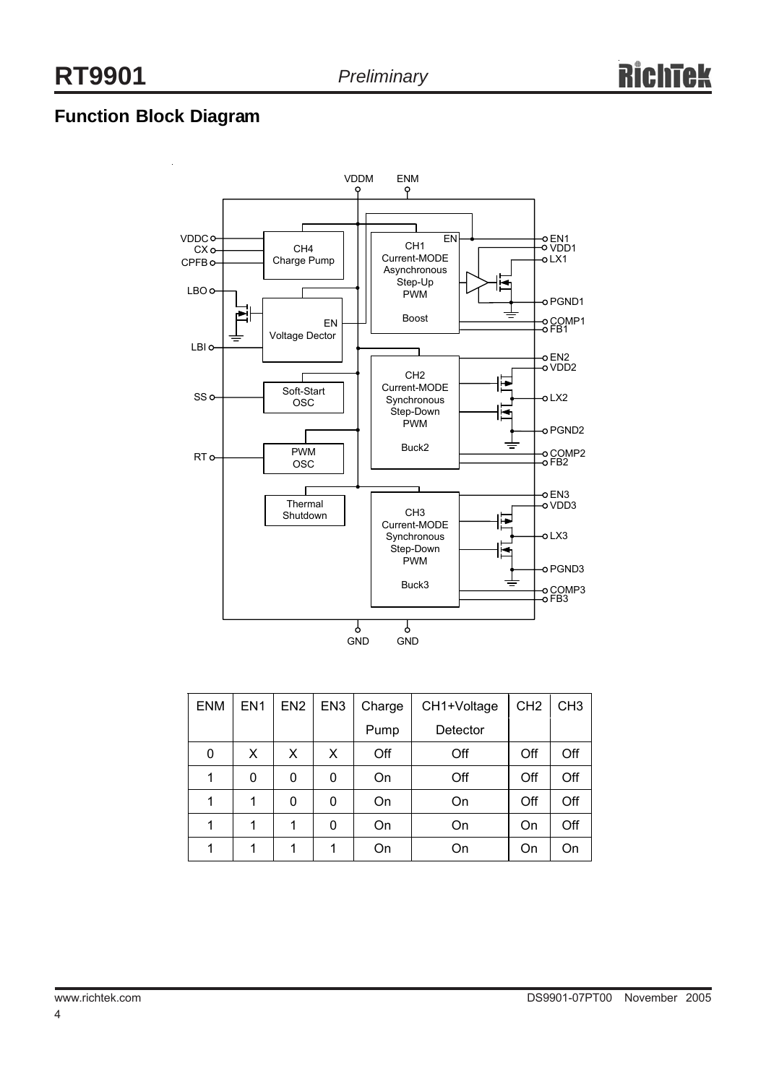# **Function Block Diagram**



| <b>ENM</b> | EN <sub>1</sub> | EN <sub>2</sub> | EN <sub>3</sub> | Charge | CH1+Voltage | CH <sub>2</sub> | CH <sub>3</sub> |
|------------|-----------------|-----------------|-----------------|--------|-------------|-----------------|-----------------|
|            |                 |                 |                 | Pump   | Detector    |                 |                 |
| 0          | X               | X               | X               | Off    | Off         | Off             | Off             |
|            | 0               | 0               | 0               | On     | Off         | Off             | Off             |
|            |                 | 0               | 0               | On     | On          | Off             | Off             |
| 1          | 1               |                 | 0               | On     | On          | On              | Off             |
|            |                 |                 | и               | On     | On          | On              | On              |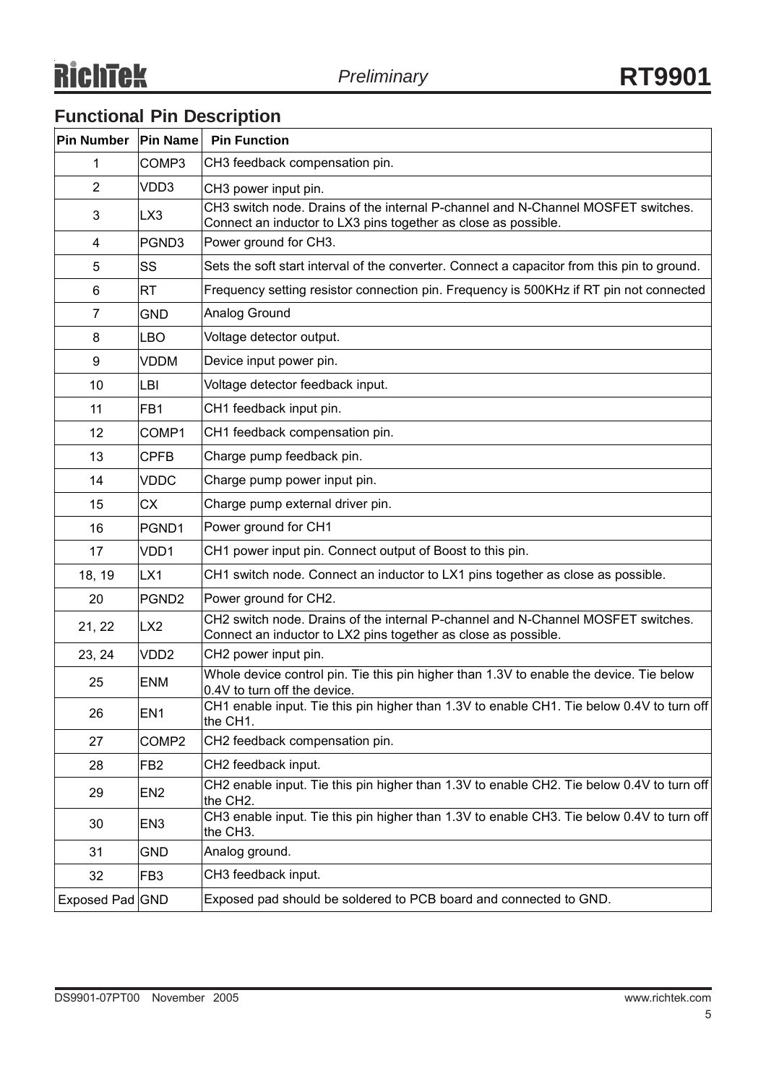# **Functional Pin Description**

| Pin Number              | <b>Pin Name</b>   | <b>Pin Function</b>                                                                                                                                |
|-------------------------|-------------------|----------------------------------------------------------------------------------------------------------------------------------------------------|
| 1                       | COMP3             | CH3 feedback compensation pin.                                                                                                                     |
| $\overline{2}$          | VDD3              | CH3 power input pin.                                                                                                                               |
| 3                       | LX3               | CH3 switch node. Drains of the internal P-channel and N-Channel MOSFET switches.<br>Connect an inductor to LX3 pins together as close as possible. |
| $\overline{\mathbf{4}}$ | PGND3             | Power ground for CH3.                                                                                                                              |
| 5                       | SS                | Sets the soft start interval of the converter. Connect a capacitor from this pin to ground.                                                        |
| 6                       | <b>RT</b>         | Frequency setting resistor connection pin. Frequency is 500KHz if RT pin not connected                                                             |
| 7                       | <b>GND</b>        | Analog Ground                                                                                                                                      |
| 8                       | <b>LBO</b>        | Voltage detector output.                                                                                                                           |
| 9                       | <b>VDDM</b>       | Device input power pin.                                                                                                                            |
| 10                      | LBI               | Voltage detector feedback input.                                                                                                                   |
| 11                      | FB1               | CH1 feedback input pin.                                                                                                                            |
| 12                      | COMP1             | CH1 feedback compensation pin.                                                                                                                     |
| 13                      | <b>CPFB</b>       | Charge pump feedback pin.                                                                                                                          |
| 14                      | <b>VDDC</b>       | Charge pump power input pin.                                                                                                                       |
| 15                      | CX.               | Charge pump external driver pin.                                                                                                                   |
| 16                      | PGND1             | Power ground for CH1                                                                                                                               |
| 17                      | VDD1              | CH1 power input pin. Connect output of Boost to this pin.                                                                                          |
| 18, 19                  | LX1               | CH1 switch node. Connect an inductor to LX1 pins together as close as possible.                                                                    |
| 20                      | PGND <sub>2</sub> | Power ground for CH2.                                                                                                                              |
| 21, 22                  | LX <sub>2</sub>   | CH2 switch node. Drains of the internal P-channel and N-Channel MOSFET switches.<br>Connect an inductor to LX2 pins together as close as possible. |
| 23, 24                  | VDD <sub>2</sub>  | CH2 power input pin.                                                                                                                               |
| 25                      | <b>ENM</b>        | Whole device control pin. Tie this pin higher than 1.3V to enable the device. Tie below<br>0.4V to turn off the device.                            |
| 26                      | EN <sub>1</sub>   | CH1 enable input. Tie this pin higher than 1.3V to enable CH1. Tie below 0.4V to turn off<br>the CH1.                                              |
| 27                      | COMP <sub>2</sub> | CH2 feedback compensation pin.                                                                                                                     |
| 28                      | FB <sub>2</sub>   | CH2 feedback input.                                                                                                                                |
| 29                      | EN <sub>2</sub>   | CH2 enable input. Tie this pin higher than 1.3V to enable CH2. Tie below 0.4V to turn off<br>the CH2.                                              |
| 30                      | EN <sub>3</sub>   | CH3 enable input. Tie this pin higher than 1.3V to enable CH3. Tie below 0.4V to turn off<br>the CH3.                                              |
| 31                      | <b>GND</b>        | Analog ground.                                                                                                                                     |
| 32                      | FB <sub>3</sub>   | CH3 feedback input.                                                                                                                                |
| Exposed Pad GND         |                   | Exposed pad should be soldered to PCB board and connected to GND.                                                                                  |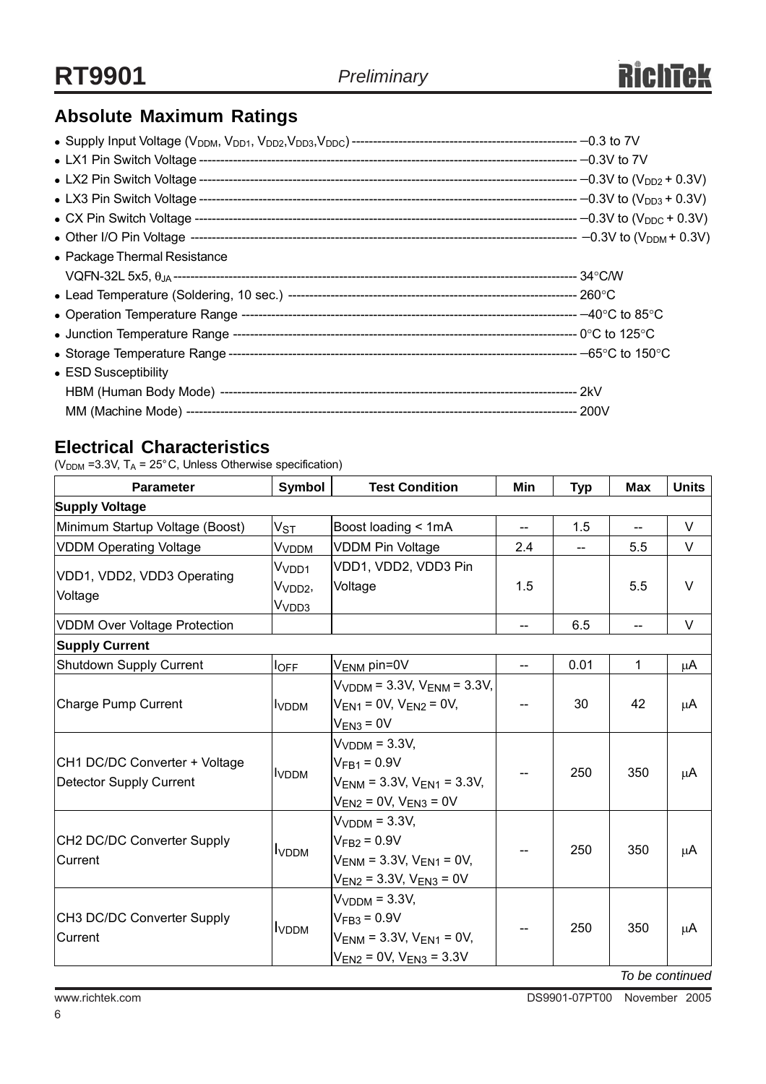# **Absolute Maximum Ratings**

| • Package Thermal Resistance |  |
|------------------------------|--|
|                              |  |
|                              |  |
|                              |  |
|                              |  |
|                              |  |
| • ESD Susceptibility         |  |
|                              |  |
|                              |  |

## **Electrical Characteristics**

( $V<sub>DDM</sub>$  =3.3V, T<sub>A</sub> = 25°C, Unless Otherwise specification)

| <b>Parameter</b>                                                | Symbol                                            | <b>Test Condition</b>                                                                                         | Min | <b>Typ</b> | <b>Max</b>                          | <b>Units</b> |
|-----------------------------------------------------------------|---------------------------------------------------|---------------------------------------------------------------------------------------------------------------|-----|------------|-------------------------------------|--------------|
| <b>Supply Voltage</b>                                           |                                                   |                                                                                                               |     |            |                                     |              |
| Minimum Startup Voltage (Boost)                                 | $V_{ST}$                                          | Boost loading < 1mA                                                                                           | 44  | 1.5        | $\overline{a}$                      | $\vee$       |
| <b>VDDM Operating Voltage</b>                                   | V <sub>VDDM</sub>                                 | <b>VDDM Pin Voltage</b>                                                                                       | 2.4 |            | 5.5                                 | V            |
| VDD1, VDD2, VDD3 Operating<br>Voltage                           | Vvdd1<br>V <sub>VDD2</sub> ,<br>V <sub>VDD3</sub> | VDD1, VDD2, VDD3 Pin<br>Voltage                                                                               | 1.5 |            | 5.5                                 | $\vee$       |
| <b>VDDM Over Voltage Protection</b>                             |                                                   |                                                                                                               | --  | 6.5        | $\hspace{0.05cm}$ $\hspace{0.05cm}$ | $\vee$       |
| <b>Supply Current</b>                                           |                                                   |                                                                                                               |     |            |                                     |              |
| Shutdown Supply Current                                         | <b>l</b> OFF                                      | $V_{\text{ENM}}$ pin=0V                                                                                       | $-$ | 0.01       | 1                                   | $\mu$ A      |
| Charge Pump Current                                             | <b>I</b> VDDM                                     | $V_{VDDM}$ = 3.3V, $V_{ENM}$ = 3.3V,<br>$V_{EN1} = 0V$ , $V_{EN2} = 0V$ ,<br>$V_{EN3} = 0V$                   | --  | 30         | 42                                  | $\mu$ A      |
| CH1 DC/DC Converter + Voltage<br><b>Detector Supply Current</b> | <u>IVDDM</u>                                      | $VVDDM = 3.3V,$<br>$V_{FB1} = 0.9V$<br>$V_{FNM}$ = 3.3V, $V_{FN1}$ = 3.3V,<br>$V_{EN2} = 0V$ , $V_{EN3} = 0V$ | --  | 250        | 350                                 | μA           |
| CH2 DC/DC Converter Supply<br>Current                           | <b>I</b> VDDM                                     | $VVDDM = 3.3V,$<br>$VFB2 = 0.9V$<br>$V_{ENM}$ = 3.3V, $V_{EN1}$ = 0V,<br>$V_{EN2}$ = 3.3V, $V_{EN3}$ = 0V     | --  | 250        | 350                                 | μA           |
| CH3 DC/DC Converter Supply<br>Current                           | <b>I</b> VDDM                                     | $VVDDM = 3.3V,$<br>$V_{FB3} = 0.9V$<br>$V_{ENM}$ = 3.3V, $V_{EN1}$ = 0V,<br>$V_{EN2}$ = 0V, $V_{EN3}$ = 3.3V  |     | 250        | 350<br>$\sim$ $\sim$                | μA           |

*To be continued*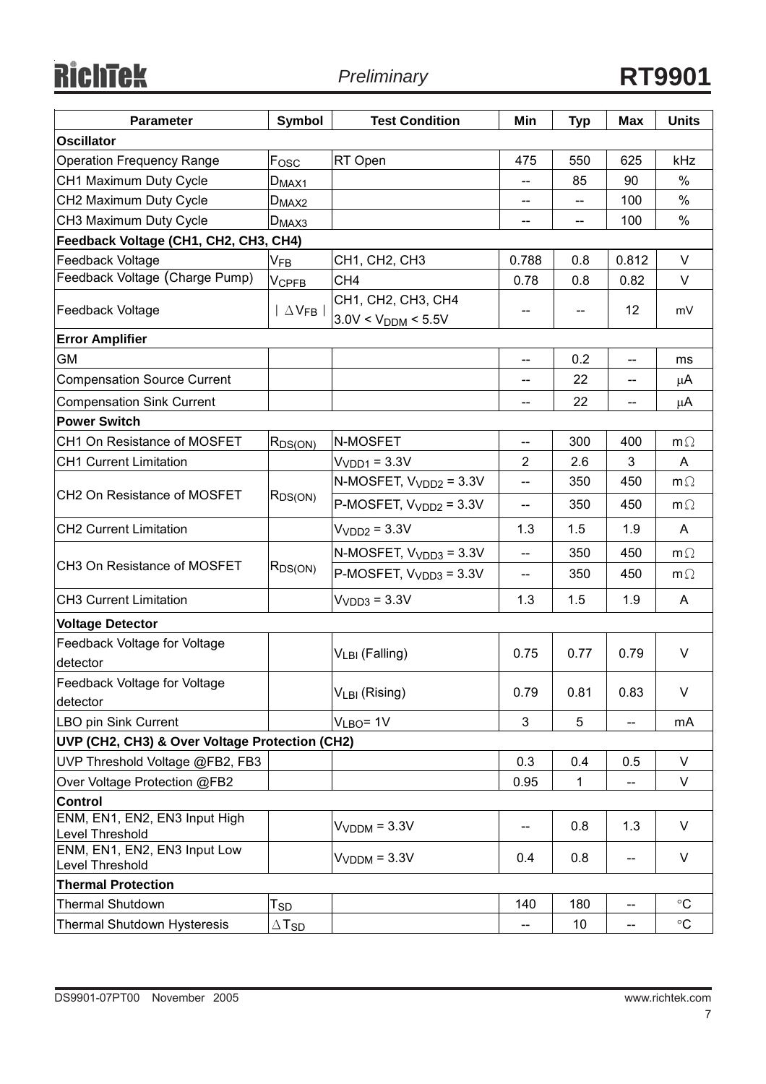RichTek

| <b>Parameter</b>                                 | Symbol                     | <b>Test Condition</b>                         | Min                      | <b>Typ</b> | <b>Max</b>                            | <b>Units</b> |  |
|--------------------------------------------------|----------------------------|-----------------------------------------------|--------------------------|------------|---------------------------------------|--------------|--|
| <b>Oscillator</b>                                |                            |                                               |                          |            |                                       |              |  |
| <b>Operation Frequency Range</b>                 | F <sub>osc</sub>           | RT Open                                       | 475                      | 550        | 625                                   | kHz          |  |
| CH1 Maximum Duty Cycle                           | $D_{MAX1}$                 |                                               | $\overline{\phantom{a}}$ | 85         | 90                                    | %            |  |
| CH2 Maximum Duty Cycle                           | $D_{MAX2}$                 |                                               | --                       | --         | 100                                   | $\%$         |  |
| CH3 Maximum Duty Cycle                           | $D_{MAX3}$                 |                                               | $\overline{\phantom{a}}$ | $- -$      | 100                                   | %            |  |
| Feedback Voltage (CH1, CH2, CH3, CH4)            |                            |                                               |                          |            |                                       |              |  |
| Feedback Voltage                                 | V <sub>FB</sub>            | CH1, CH2, CH3                                 | 0.788                    | 0.8        | 0.812                                 | V            |  |
| Feedback Voltage (Charge Pump)                   | $V_{\mathsf{CPFB}}$        | CH <sub>4</sub>                               | 0.78                     | 0.8        | 0.82                                  | V            |  |
| <b>Feedback Voltage</b>                          | $\Delta$ V <sub>FB</sub>   | CH1, CH2, CH3, CH4<br>$3.0V < V_{DDM} < 5.5V$ | --                       | --         | 12                                    | mV           |  |
| <b>Error Amplifier</b>                           |                            |                                               |                          |            |                                       |              |  |
| GМ                                               |                            |                                               | $\overline{\phantom{a}}$ | 0.2        | $\hspace{0.05cm}$ – $\hspace{0.05cm}$ | ms           |  |
| <b>Compensation Source Current</b>               |                            |                                               | --                       | 22         | --                                    | μA           |  |
| <b>Compensation Sink Current</b>                 |                            |                                               | $-$                      | 22         | --                                    | μA           |  |
| <b>Power Switch</b>                              |                            |                                               |                          |            |                                       |              |  |
| CH1 On Resistance of MOSFET                      | $R_{DS(ON)}$               | N-MOSFET                                      | $-$                      | 300        | 400                                   | $m\Omega$    |  |
| <b>CH1 Current Limitation</b>                    |                            | $VVDD1 = 3.3V$                                | $\overline{2}$           | 2.6        | 3                                     | Α            |  |
|                                                  | $R_{DS(ON)}$               | N-MOSFET, $V_{VDD2} = 3.3V$                   | $\overline{\phantom{m}}$ | 350        | 450                                   | $m\Omega$    |  |
| CH <sub>2</sub> On Resistance of MOSFET          |                            | P-MOSFET, $V_{VDD2} = 3.3V$                   | $\overline{\phantom{a}}$ | 350        | 450                                   | $m\Omega$    |  |
| <b>CH2 Current Limitation</b>                    |                            | $VVDD2 = 3.3V$                                | 1.3                      | 1.5        | 1.9                                   | A            |  |
|                                                  | $R_{DS(ON)}$               | N-MOSFET, $V_{VDD3} = 3.3V$                   | --                       | 350        | 450                                   | $m\Omega$    |  |
| CH <sub>3</sub> On Resistance of MOSFET          |                            | P-MOSFET, $VVDD3 = 3.3V$                      | $\overline{\phantom{a}}$ | 350        | 450                                   | $m\Omega$    |  |
| <b>CH3 Current Limitation</b>                    |                            | $VVDD3 = 3.3V$                                | 1.3                      | 1.5        | 1.9                                   | Α            |  |
| <b>Voltage Detector</b>                          |                            |                                               |                          |            |                                       |              |  |
| Feedback Voltage for Voltage<br>detector         |                            | $V_{LBI}$ (Falling)                           | 0.75                     | 0.77       | 0.79                                  | V            |  |
| Feedback Voltage for Voltage                     |                            | V <sub>LBI</sub> (Rising)                     | 0.79                     | 0.81       | 0.83                                  | V            |  |
| detector                                         |                            |                                               |                          |            |                                       |              |  |
| LBO pin Sink Current                             |                            | $VLBO = 1V$                                   | 3                        | 5          | $-$                                   | mA           |  |
| UVP (CH2, CH3) & Over Voltage Protection (CH2)   |                            |                                               |                          |            |                                       |              |  |
| UVP Threshold Voltage @FB2, FB3                  |                            |                                               | 0.3                      | 0.4        | 0.5                                   | V            |  |
| Over Voltage Protection @FB2                     |                            |                                               | 0.95                     | 1          |                                       | V            |  |
| <b>Control</b>                                   |                            |                                               |                          |            |                                       |              |  |
| ENM, EN1, EN2, EN3 Input High<br>Level Threshold |                            | $VVDDM = 3.3V$                                | --                       | 0.8        | 1.3                                   | V            |  |
| ENM, EN1, EN2, EN3 Input Low<br>Level Threshold  |                            | $VVDDM = 3.3V$                                | 0.4                      | 0.8        | --                                    | V            |  |
| <b>Thermal Protection</b>                        |                            |                                               |                          |            |                                       |              |  |
| <b>Thermal Shutdown</b>                          | $\mathsf{T}_{\mathsf{SD}}$ |                                               | 140                      | 180        | --                                    | $\circ$ C    |  |
| Thermal Shutdown Hysteresis                      | $\Delta$ Tsd               |                                               | $\overline{\phantom{a}}$ | 10         | --                                    | $\circ$ C    |  |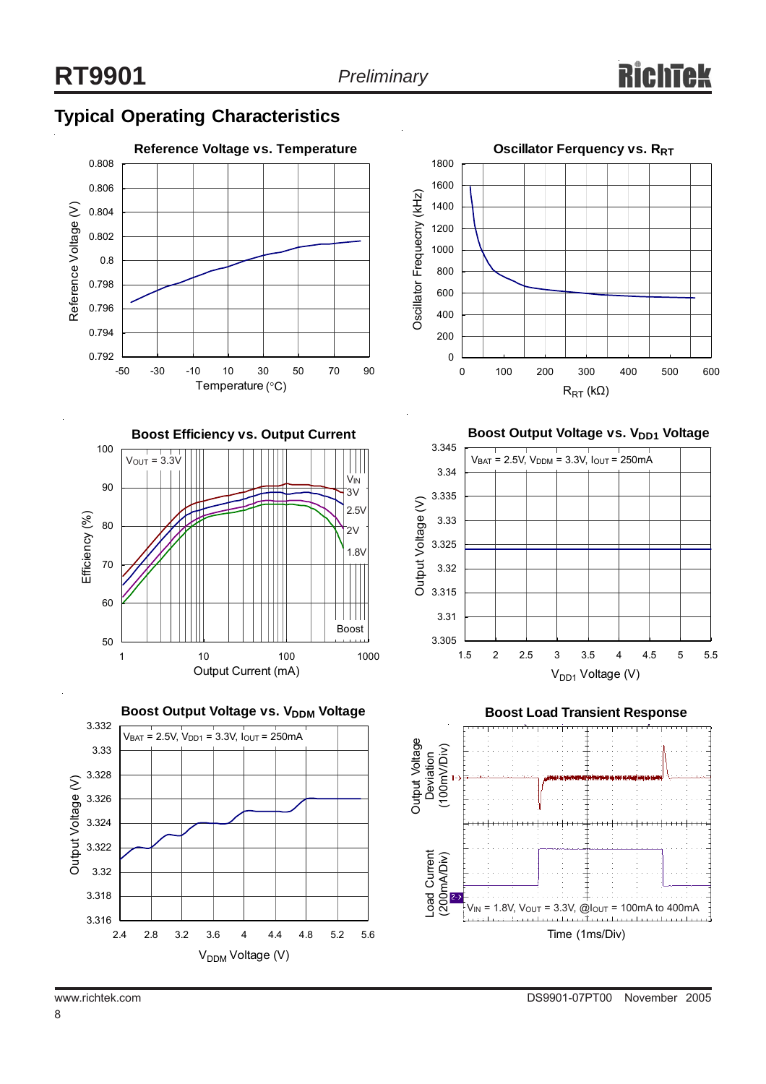# **Typical Operating Characteristics**









**Boost Output Voltage vs. V<sub>DD1</sub> Voltage** 





8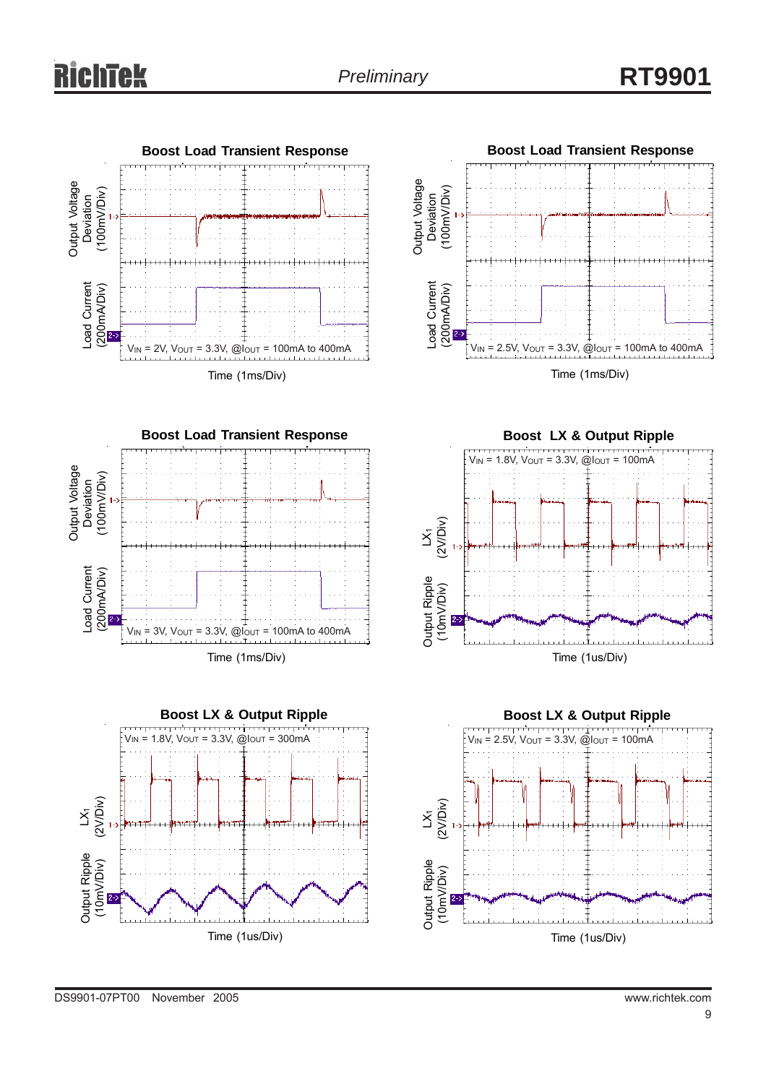







**Boost LX & Output Ripple**



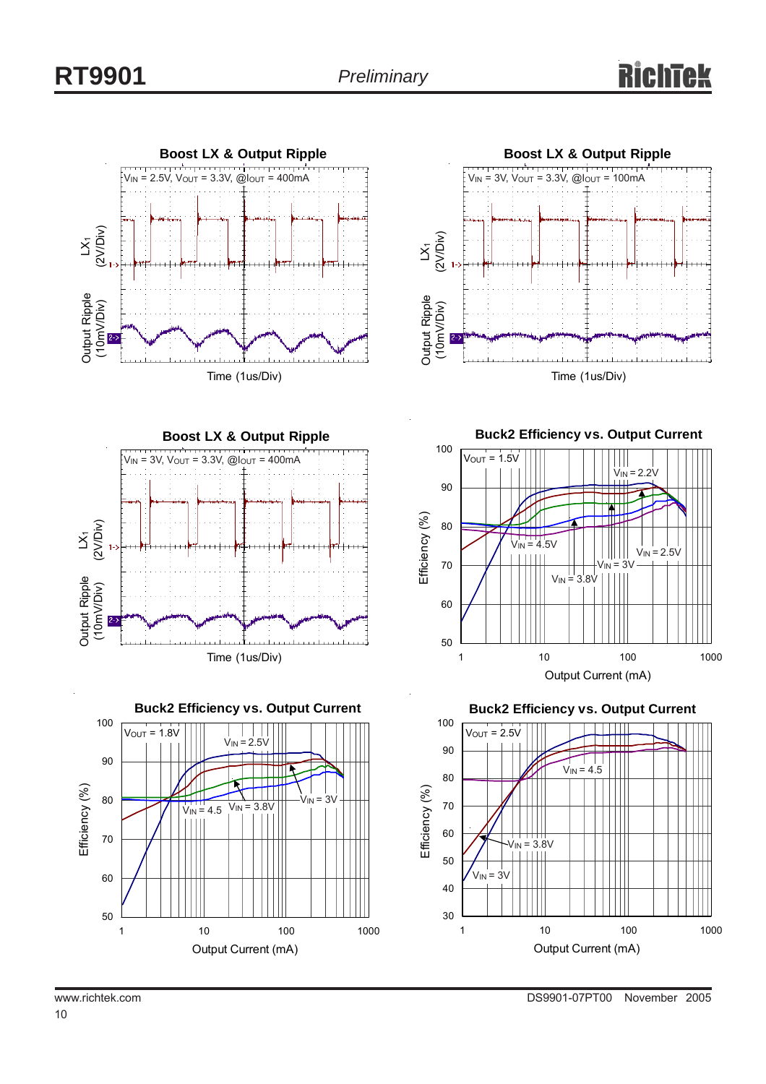







**Buck2 Efficiency vs. Output Current**



**Buck2 Efficiency vs. Output Current**

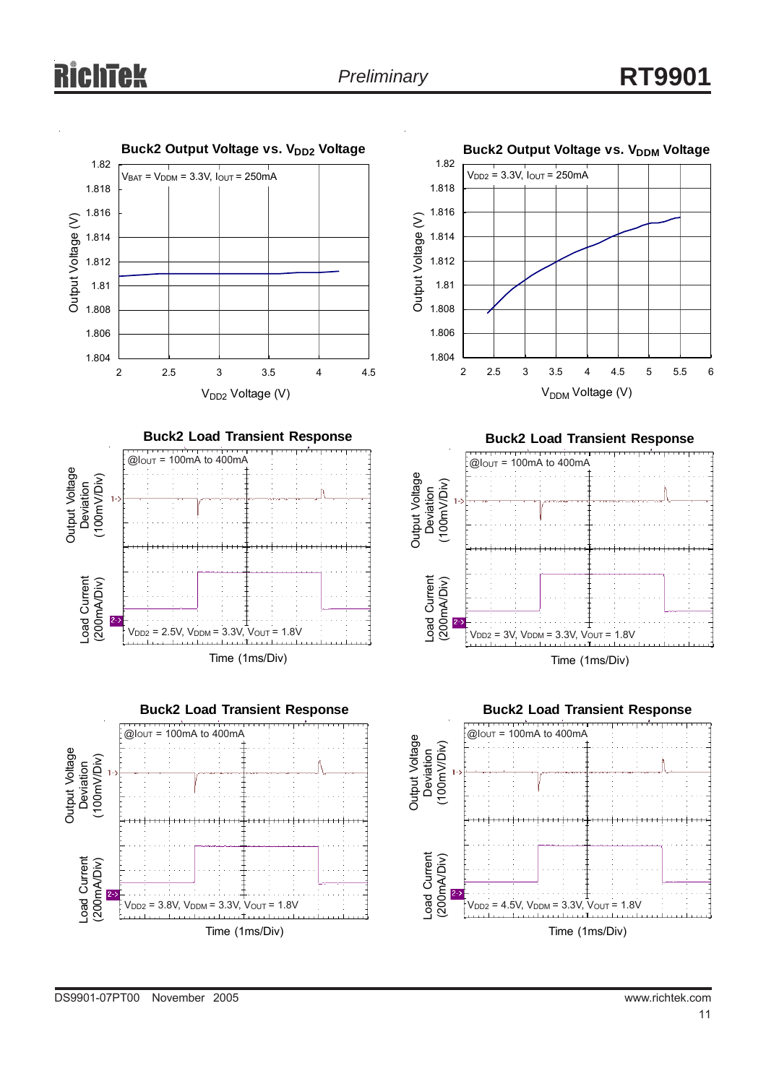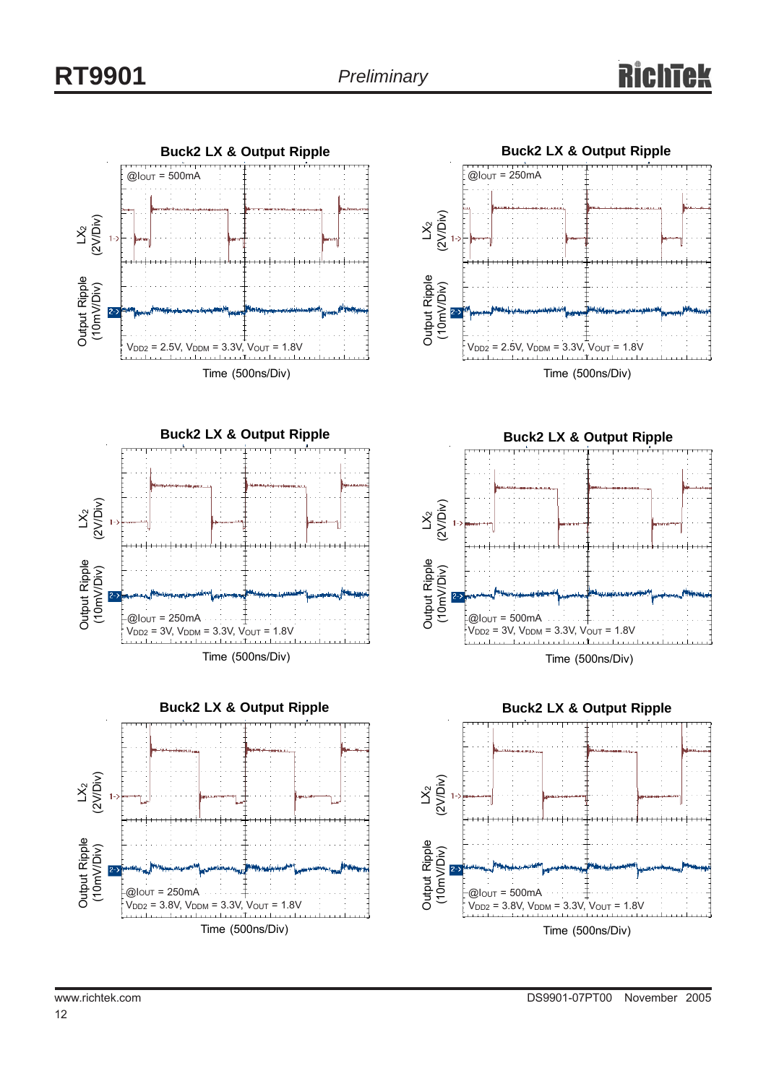











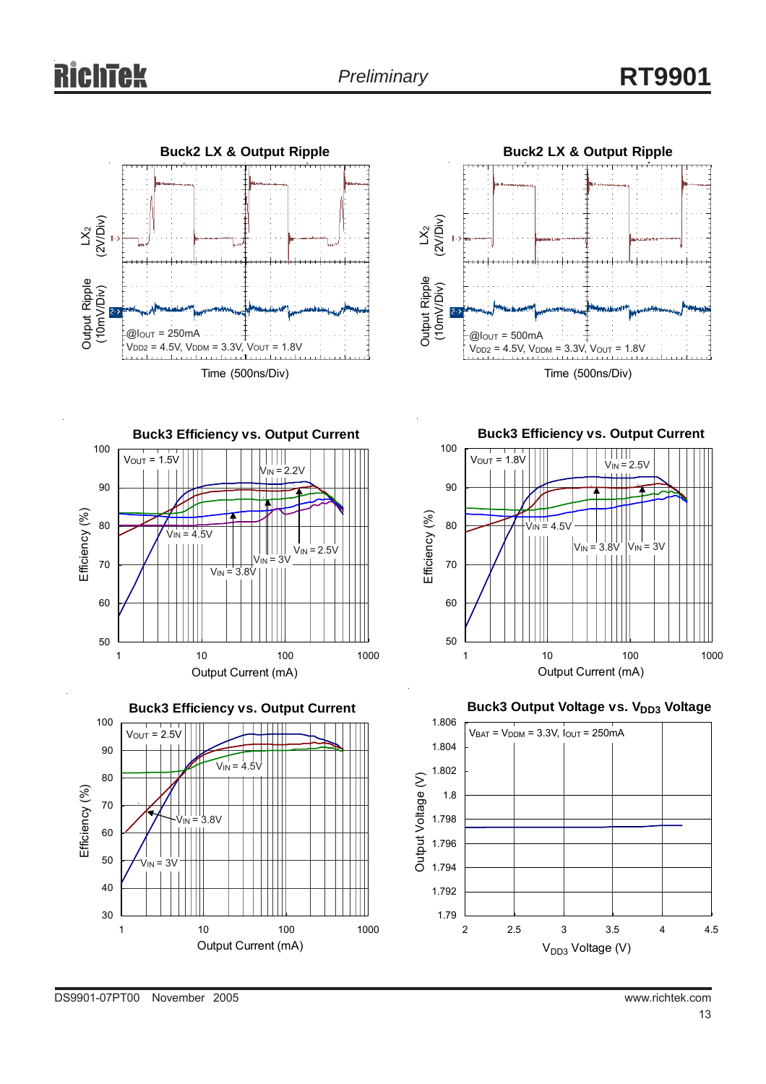



**Buck3 Efficiency vs. Output Current** 100  $V_{OUT} = 1.5V$ THI  $V_{IN} = 2.2V$ 90 Efficiency (%) Efficiency (%) 80  $V_{IN} = 4.5V$  $V_{IN} = 2.5V$  $v_{\text{IN}}$  = 3V 70  $V_{IN}$  = 3.8V 60 50 1 10 100 1000 Output Current (mA)



**Buck3 Efficiency vs. Output Current** 100  $V<sub>OUT</sub> = 1.8V$ VIN = 2.5V



**Buck3 Output Voltage vs. VDD3 Voltage** 

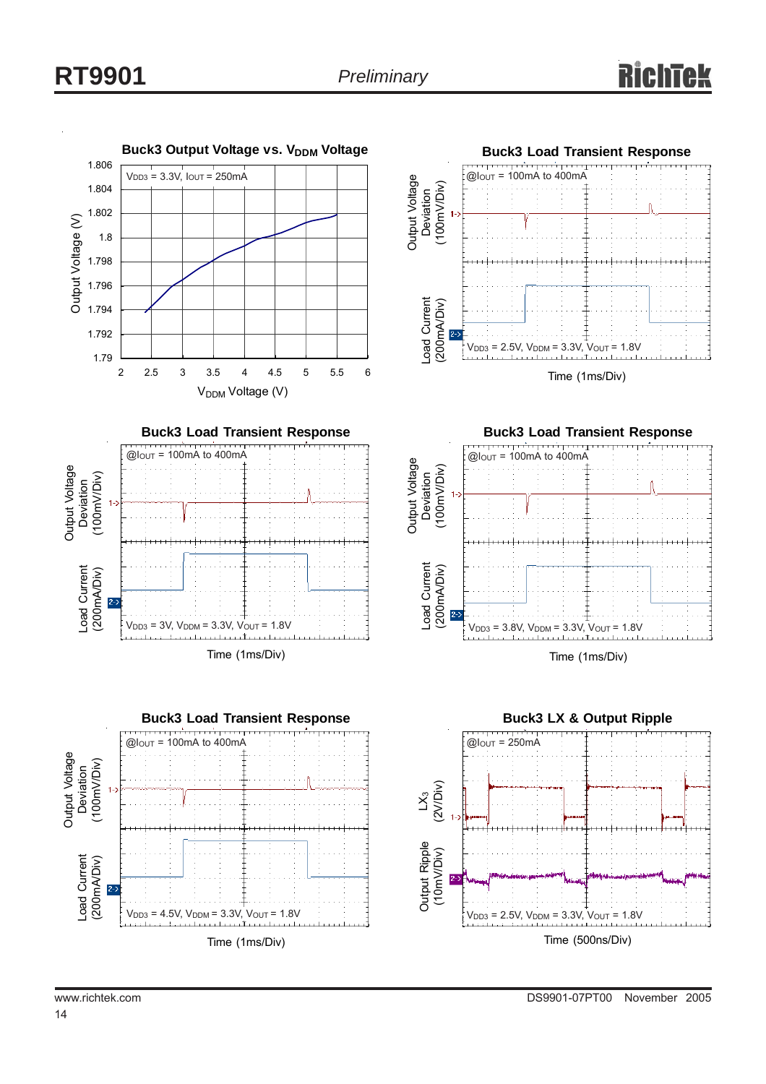# **RT9901** *Preliminary*

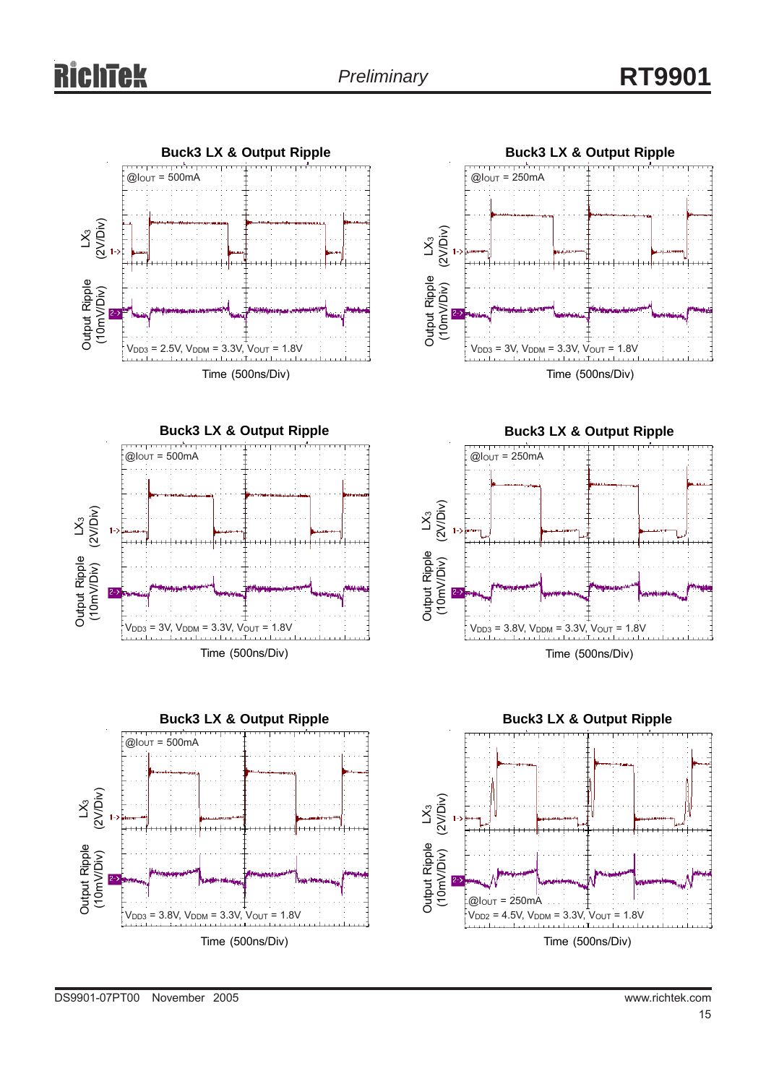$\mathcal{\r{S}}$ 





**Buck3 LX & Output Ripple**  $V_{DD3} = 3V$ ,  $V_{DDM} = 3.3V$ ,  $V_{OUT} = 1.8V$ (2V/Div) Output Ripple (10mV/Div)  $@$ lout = 250mA

Time (500ns/Div)



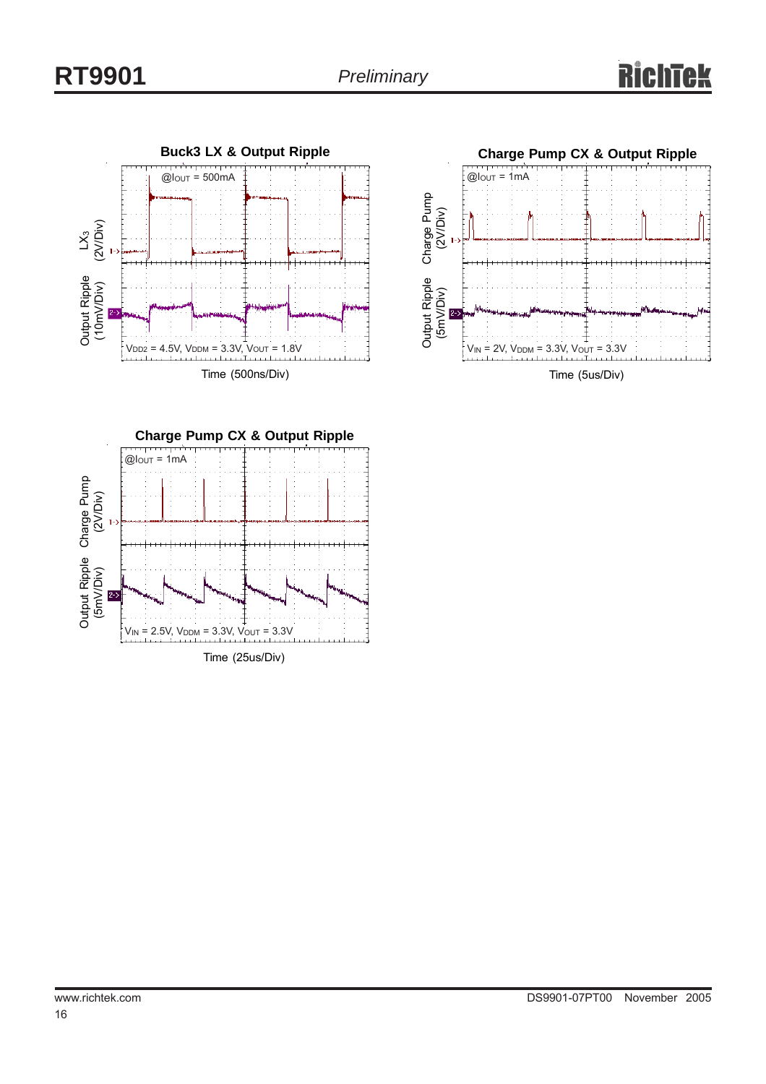





Time (5us/Div)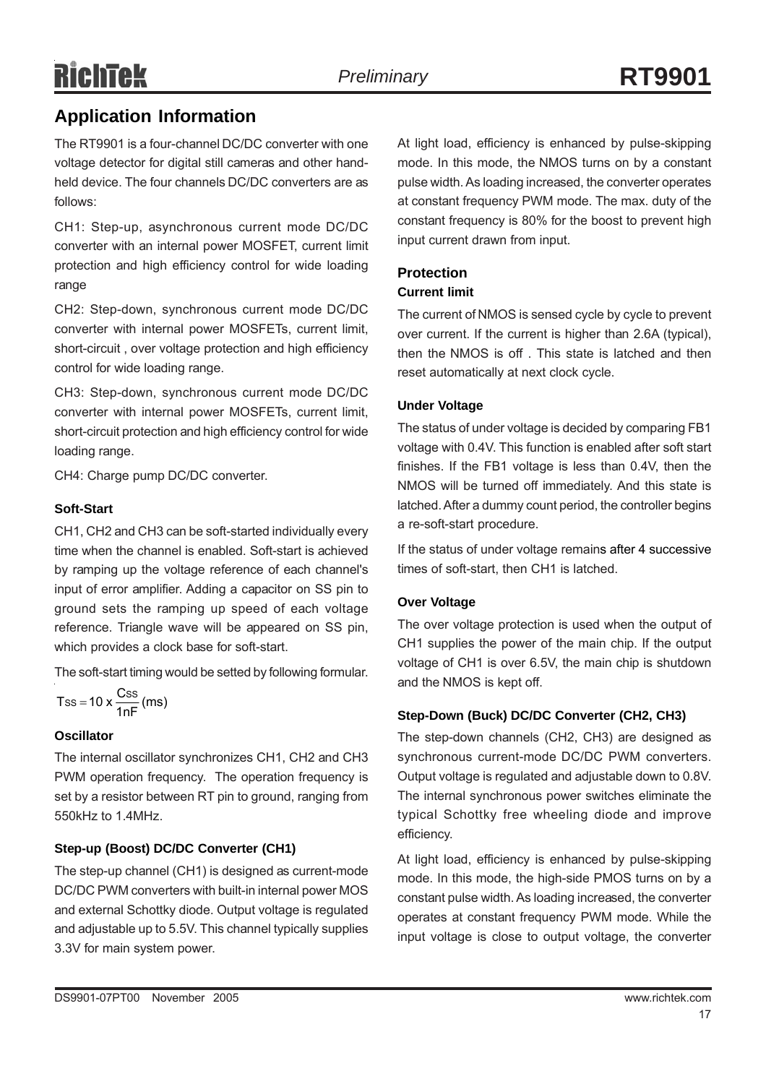# RichTek

The RT9901 is a four-channel DC/DC converter with one voltage detector for digital still cameras and other handheld device. The four channels DC/DC converters are as follows:

CH1: Step-up, asynchronous current mode DC/DC converter with an internal power MOSFET, current limit protection and high efficiency control for wide loading range

CH2: Step-down, synchronous current mode DC/DC converter with internal power MOSFETs, current limit, short-circuit , over voltage protection and high efficiency control for wide loading range.

CH3: Step-down, synchronous current mode DC/DC converter with internal power MOSFETs, current limit, short-circuit protection and high efficiency control for wide loading range.

CH4: Charge pump DC/DC converter.

#### **Soft-Start**

CH1, CH2 and CH3 can be soft-started individually every time when the channel is enabled. Soft-start is achieved by ramping up the voltage reference of each channel's input of error amplifier. Adding a capacitor on SS pin to ground sets the ramping up speed of each voltage reference. Triangle wave will be appeared on SS pin, which provides a clock base for soft-start.

The soft-start timing would be setted by following formular.

$$
Tss = 10 \times \frac{Css}{1nF} \, (ms)
$$

#### **Oscillator**

The internal oscillator synchronizes CH1, CH2 and CH3 PWM operation frequency. The operation frequency is set by a resistor between RT pin to ground, ranging from 550kHz to 1.4MHz.

#### **Step-up (Boost) DC/DC Converter (CH1)**

The step-up channel (CH1) is designed as current-mode DC/DC PWM converters with built-in internal power MOS and external Schottky diode. Output voltage is regulated and adjustable up to 5.5V. This channel typically supplies 3.3V for main system power.

At light load, efficiency is enhanced by pulse-skipping mode. In this mode, the NMOS turns on by a constant pulse width. As loading increased, the converter operates at constant frequency PWM mode. The max. duty of the constant frequency is 80% for the boost to prevent high input current drawn from input.

#### **Protection**

#### **Current limit**

The current of NMOS is sensed cycle by cycle to prevent over current. If the current is higher than 2.6A (typical), then the NMOS is off . This state is latched and then reset automatically at next clock cycle.

#### **Under Voltage**

The status of under voltage is decided by comparing FB1 voltage with 0.4V. This function is enabled after soft start finishes. If the FB1 voltage is less than 0.4V, then the NMOS will be turned off immediately. And this state is latched. After a dummy count period, the controller begins a re-soft-start procedure.

If the status of under voltage remains after 4 successive times of soft-start, then CH1 is latched.

#### **Over Voltage**

The over voltage protection is used when the output of CH1 supplies the power of the main chip. If the output voltage of CH1 is over 6.5V, the main chip is shutdown and the NMOS is kept off.

#### **Step-Down (Buck) DC/DC Converter (CH2, CH3)**

The step-down channels (CH2, CH3) are designed as synchronous current-mode DC/DC PWM converters. Output voltage is regulated and adjustable down to 0.8V. The internal synchronous power switches eliminate the typical Schottky free wheeling diode and improve efficiency.

At light load, efficiency is enhanced by pulse-skipping mode. In this mode, the high-side PMOS turns on by a constant pulse width. As loading increased, the converter operates at constant frequency PWM mode. While the input voltage is close to output voltage, the converter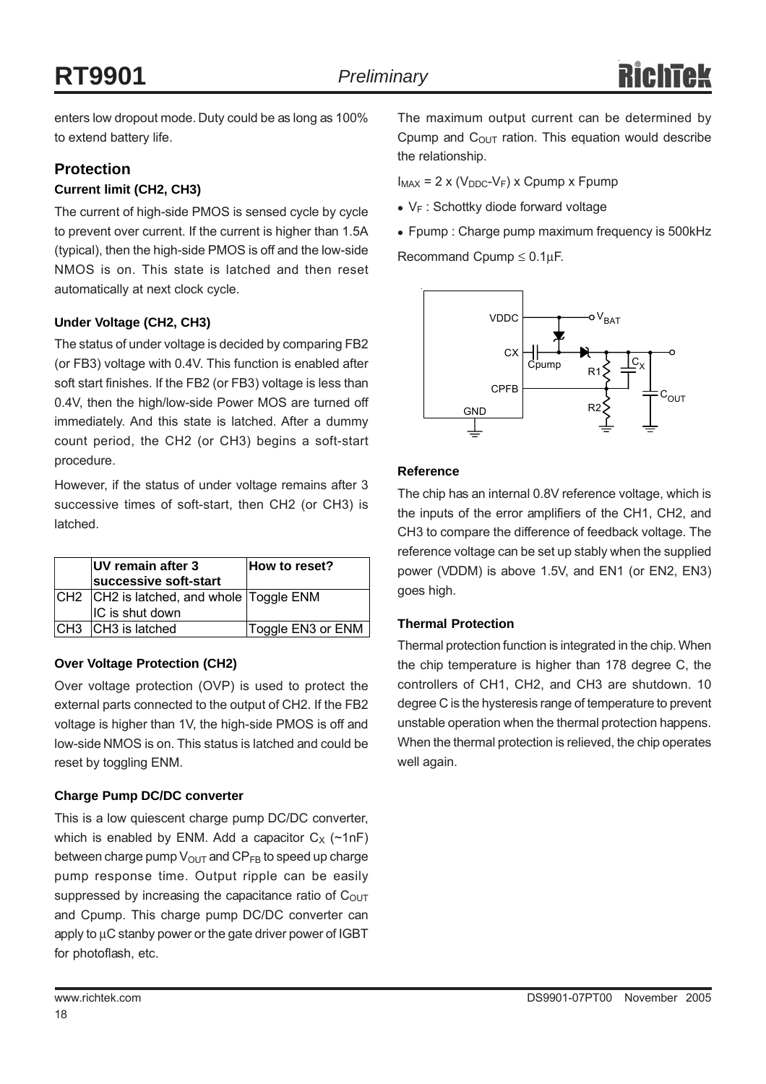enters low dropout mode. Duty could be as long as 100% to extend battery life.

#### **Protection**

#### **Current limit (CH2, CH3)**

The current of high-side PMOS is sensed cycle by cycle to prevent over current. If the current is higher than 1.5A (typical), then the high-side PMOS is off and the low-side NMOS is on. This state is latched and then reset automatically at next clock cycle.

#### **Under Voltage (CH2, CH3)**

The status of under voltage is decided by comparing FB2 (or FB3) voltage with 0.4V. This function is enabled after soft start finishes. If the FB2 (or FB3) voltage is less than 0.4V, then the high/low-side Power MOS are turned off immediately. And this state is latched. After a dummy count period, the CH2 (or CH3) begins a soft-start procedure.

However, if the status of under voltage remains after 3 successive times of soft-start, then CH2 (or CH3) is latched.

| UV remain after 3<br>successive soft-start | How to reset?     |
|--------------------------------------------|-------------------|
| CH2 CH2 is latched, and whole Toggle ENM   |                   |
| IC is shut down                            |                   |
| CH3 CH3 is latched                         | Toggle EN3 or ENM |

#### **Over Voltage Protection (CH2)**

Over voltage protection (OVP) is used to protect the external parts connected to the output of CH2. If the FB2 voltage is higher than 1V, the high-side PMOS is off and low-side NMOS is on. This status is latched and could be reset by toggling ENM.

#### **Charge Pump DC/DC converter**

This is a low quiescent charge pump DC/DC converter, which is enabled by ENM. Add a capacitor  $C_X$  (~1nF) between charge pump  $V_{\text{OUT}}$  and  $\text{CP}_{\text{FB}}$  to speed up charge pump response time. Output ripple can be easily suppressed by increasing the capacitance ratio of  $C<sub>OUT</sub>$ and Cpump. This charge pump DC/DC converter can apply to μC stanby power or the gate driver power of IGBT for photoflash, etc.

 $I_{MAX}$  = 2 x ( $V_{DDC}$ - $V_F$ ) x Cpump x Fpump

- $\bullet$  V<sub>F</sub> : Schottky diode forward voltage
- Fpump : Charge pump maximum frequency is 500kHz

Recommand Cpump  $\leq 0.1 \mu F$ .



#### **Reference**

The chip has an internal 0.8V reference voltage, which is the inputs of the error amplifiers of the CH1, CH2, and CH3 to compare the difference of feedback voltage. The reference voltage can be set up stably when the supplied power (VDDM) is above 1.5V, and EN1 (or EN2, EN3) goes high.

#### **Thermal Protection**

Thermal protection function is integrated in the chip. When the chip temperature is higher than 178 degree C, the controllers of CH1, CH2, and CH3 are shutdown. 10 degree C is the hysteresis range of temperature to prevent unstable operation when the thermal protection happens. When the thermal protection is relieved, the chip operates well again.